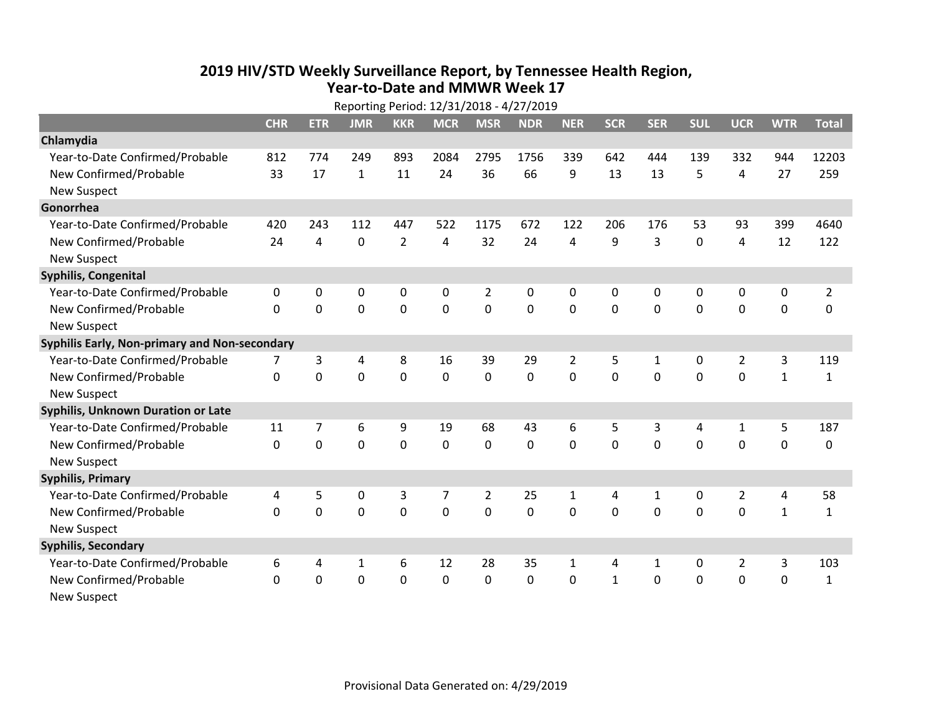## **2019 HIV /STD Weekly Surveillance Report, by Tennessee Health Region, Year‐to‐Date and MMWR Week 17** Reporting Period: 12/31/2018 ‐ 4/27/2019

|                                               | Reporting Period: 12/31/2018 - 4/27/2019 |             |                |                |             |                |            |                |              |              |             |                |              |                |
|-----------------------------------------------|------------------------------------------|-------------|----------------|----------------|-------------|----------------|------------|----------------|--------------|--------------|-------------|----------------|--------------|----------------|
|                                               | <b>CHR</b>                               | <b>ETR</b>  | <b>JMR</b>     | <b>KKR</b>     | <b>MCR</b>  | <b>MSR</b>     | <b>NDR</b> | <b>NER</b>     | <b>SCR</b>   | <b>SER</b>   | <b>SUL</b>  | <b>UCR</b>     | <b>WTR</b>   | <b>Total</b>   |
| Chlamydia                                     |                                          |             |                |                |             |                |            |                |              |              |             |                |              |                |
| Year-to-Date Confirmed/Probable               | 812                                      | 774         | 249            | 893            | 2084        | 2795           | 1756       | 339            | 642          | 444          | 139         | 332            | 944          | 12203          |
| New Confirmed/Probable                        | 33                                       | 17          | $\mathbf{1}$   | 11             | 24          | 36             | 66         | 9              | 13           | 13           | 5           | 4              | 27           | 259            |
| <b>New Suspect</b>                            |                                          |             |                |                |             |                |            |                |              |              |             |                |              |                |
| Gonorrhea                                     |                                          |             |                |                |             |                |            |                |              |              |             |                |              |                |
| Year-to-Date Confirmed/Probable               | 420                                      | 243         | 112            | 447            | 522         | 1175           | 672        | 122            | 206          | 176          | 53          | 93             | 399          | 4640           |
| New Confirmed/Probable                        | 24                                       | 4           | $\mathbf 0$    | $\overline{2}$ | 4           | 32             | 24         | 4              | 9            | 3            | 0           | 4              | 12           | 122            |
| <b>New Suspect</b>                            |                                          |             |                |                |             |                |            |                |              |              |             |                |              |                |
| <b>Syphilis, Congenital</b>                   |                                          |             |                |                |             |                |            |                |              |              |             |                |              |                |
| Year-to-Date Confirmed/Probable               | $\mathbf{0}$                             | 0           | 0              | 0              | 0           | $\overline{2}$ | 0          | 0              | 0            | 0            | 0           | 0              | 0            | $\overline{2}$ |
| New Confirmed/Probable                        | $\mathbf{0}$                             | $\mathbf 0$ | $\mathbf 0$    | 0              | $\mathbf 0$ | $\mathbf 0$    | 0          | $\mathbf 0$    | $\Omega$     | 0            | 0           | 0              | $\mathbf 0$  | 0              |
| <b>New Suspect</b>                            |                                          |             |                |                |             |                |            |                |              |              |             |                |              |                |
| Syphilis Early, Non-primary and Non-secondary |                                          |             |                |                |             |                |            |                |              |              |             |                |              |                |
| Year-to-Date Confirmed/Probable               |                                          | 3           | 4              | 8              | 16          | 39             | 29         | $\overline{2}$ | 5            | 1            | 0           | $\overline{2}$ | 3            | 119            |
| New Confirmed/Probable                        | 0                                        | 0           | $\overline{0}$ | $\overline{0}$ | $\mathbf 0$ | $\mathbf 0$    | 0          | $\Omega$       | $\Omega$     | $\Omega$     | $\mathbf 0$ | $\mathbf 0$    | $\mathbf{1}$ | $\mathbf{1}$   |
| <b>New Suspect</b>                            |                                          |             |                |                |             |                |            |                |              |              |             |                |              |                |
| <b>Syphilis, Unknown Duration or Late</b>     |                                          |             |                |                |             |                |            |                |              |              |             |                |              |                |
| Year-to-Date Confirmed/Probable               | 11                                       | 7           | 6              | 9              | 19          | 68             | 43         | 6              | 5            | 3            | 4           | 1              | 5            | 187            |
| New Confirmed/Probable                        | 0                                        | $\mathbf 0$ | $\overline{0}$ | $\overline{0}$ | $\mathbf 0$ | $\mathbf 0$    | $\Omega$   | $\Omega$       | $\Omega$     | $\Omega$     | $\Omega$    | $\mathbf 0$    | $\mathbf 0$  | 0              |
| <b>New Suspect</b>                            |                                          |             |                |                |             |                |            |                |              |              |             |                |              |                |
| <b>Syphilis, Primary</b>                      |                                          |             |                |                |             |                |            |                |              |              |             |                |              |                |
| Year-to-Date Confirmed/Probable               | 4                                        | 5           | 0              | 3              | 7           | $\overline{2}$ | 25         | $\mathbf{1}$   | 4            | $\mathbf{1}$ | 0           | $\overline{2}$ | 4            | 58             |
| New Confirmed/Probable                        | $\Omega$                                 | 0           | $\mathbf 0$    | $\overline{0}$ | $\mathbf 0$ | $\mathbf 0$    | 0          | $\Omega$       | $\Omega$     | $\Omega$     | $\mathbf 0$ | $\mathbf 0$    | $\mathbf{1}$ | $\mathbf{1}$   |
| <b>New Suspect</b>                            |                                          |             |                |                |             |                |            |                |              |              |             |                |              |                |
| <b>Syphilis, Secondary</b>                    |                                          |             |                |                |             |                |            |                |              |              |             |                |              |                |
| Year-to-Date Confirmed/Probable               | 6                                        | 4           | 1              | 6              | 12          | 28             | 35         | $\mathbf{1}$   | 4            | 1            | 0           | $\overline{2}$ | 3            | 103            |
| New Confirmed/Probable                        | $\mathbf{0}$                             | 0           | 0              | $\overline{0}$ | $\mathbf 0$ | 0              | 0          | $\mathbf 0$    | $\mathbf{1}$ | 0            | 0           | $\mathbf 0$    | $\mathbf 0$  | $\mathbf{1}$   |
| <b>New Suspect</b>                            |                                          |             |                |                |             |                |            |                |              |              |             |                |              |                |